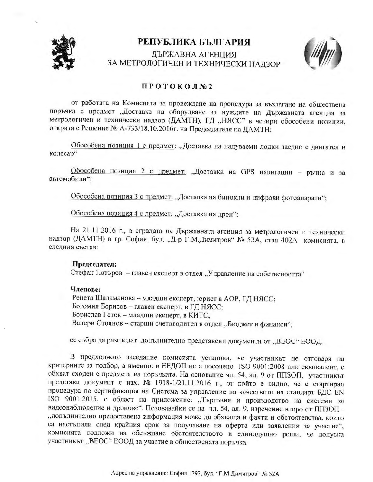

## РЕПУБЛИКА БЪЛГАРИЯ

ДЪРЖАВНА АГЕНЦИЯ ЗА МЕТРОЛОГИЧЕН И ТЕХНИЧЕСКИ НАДЗОР



## ПРОТОКОЛ№2

от работата на Комисията за провеждане на процедура за възлагане на обществена поръчка с предмет "Доставка на оборудване за нуждите на Държавната агенция за метрологичен и технически надзор (ДАМТН), ГД "НЯСС" в четири обособени позиции, открита с Решение № А-733/18.10.2016г. на Председателя на ДАМТН:

Обособена позиция 1 с предмет: "Доставка на надуваеми лодки заедно с двигател и колесар"

Обособена позиция 2 с предмет: "Доставка на GPS навигации - ръчна и за автомобили":

Обособена позиция 3 с предмет: "Доставка на бинокли и цифрови фотоапарати";

Обособена позиция 4 с предмет: "Доставка на дрон";

На 21.11.2016 г., в сградата на Държавната агенция за метрологичен и технически надзор (ДАМТН) в гр. София, бул. "Д-р Г.М.Димитров" № 52А, стая 402А комисията, в следния състав:

## Председател:

Стефан Патъров - главен експерт в отдел "Управление на собствеността"

## Членове:

Ренета Шаламанова - младши експерт, юрист в АОР, ГД НЯСС; Богомил Борисов - главен експерт, в ГД НЯСС; Борислав Гетов - младши експерт, в КИТС; Валери Стоянов - старши счетоводител в отдел "Бюджет и финанси";

се събра да разгледат допълнително представени документи от "ВЕОС" ЕООД.

В предходното заседание комисията установи, че участникът не отговаря на критериите за подбор, а именно: в ЕЕДОП не е посочено ISO 9001:2008 или еквивалент, с обхват сходен с предмета на поръчката. На основание чл. 54, ал. 9 от ППЗОП, участникът представи документ с изх. № 1918-1/21.11.2016 г., от който е видно, че е стартирал процедура по сертификация на Система за управление на качеството на стандарт БДС EN ISO 9001:2015, с област на приложение: "Търговия и производство на системи за видеонаблюдение и дронове". Позовавайки се на чл. 54, ал. 9, изречение второ от ППЗОП -"допълнително предоставена информация може да обхваща и факти и обстоятелства, които са настъпили след крайния срок за получаване на оферта или заявления за участие", комисията подложи на обсъждане обстоятелството и единодушно реши, че допуска участникът "ВЕОС" ЕООД за участие в обществената поръчка.